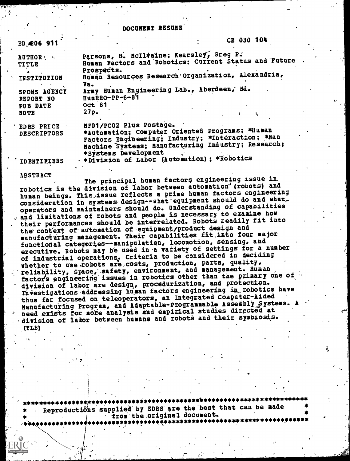#### DOCUMENT RESUME'

| <b>ED_206 911</b>                                             |                                                 | CE 030 104                                                                                                                                                                                                  |
|---------------------------------------------------------------|-------------------------------------------------|-------------------------------------------------------------------------------------------------------------------------------------------------------------------------------------------------------------|
| <b>AUTHORNEY</b><br><b>TITLE</b><br>INSTITUTION               | Prospects.                                      | Parsons, H. McIlvaine; Kearsley, Greg P.<br>Human Pactors and Robotics: Current Status and Future<br>Human Resources Research Organization, Alexandria,                                                     |
| SPONS AGENCY<br>REPORT NO<br>PUB DATE<br>NOTE                 | Va.<br>HumRRO-PP-6-87<br><b>Oct 81</b><br>27p.  | Army Human Engineering Lab., Aberdeen, Md.                                                                                                                                                                  |
| <b>EDRS PRICE</b><br><b>DESCRIPTORS</b><br><b>IDENTIFIERS</b> | MF01/PC02 Plus Postage.<br>*Systems Development | *Automation; Computer Oriented Programs; *Human<br>Factors Engineering; Industry; *Interaction; *Han<br>Machine Systems; Manufacturing Industry; Research;<br>. *Division of Labor (Automation) ; *Robotics |

ABSTRACT

<sup>1</sup> .

The principal human factors engineering issue in, robotics is the division of labor between automation' (robots) and human beings. This issue reflects a prime human factors engineering consideration in systems design--what equipment should do and what. operators and maintainers should do. Understanding of capabilities and limitations of robots and people is necessary to examine how . their performances should be interrelated. Robots readily fit into the' context of. automation of-equipment/product design and manufacturing management. Their capabilities fit into four major functional categories--manipulation, locomotion, sensing, and executive. Robots may be used in-a vafiety of settings for a number of industrial operations. Criteria to be considered in deciding whether to use.robots are costs, production, parts, quality, reliability, space, safety, environment, and management. Human factors engineering' issues in robotics other than the primary one of division of labor are design, procedurization, and protection. Investigations addressing human factors engineering in robotics have thus far focused on, teleoperators, an Integrated Computer-Aided Manufacturing Program, and Adaptable-Programmable Assembly Systems. need exists for more analysis and empirical studies directed at .division of labor between humans and robots and their symbiosis. (!LB)

\*\*\*\*\*\*\*\*\*\*\*\*\*\*\*\*m\*\*\*\*\*\*\*\*\*\*\*\*\*\*\*\*\*\*\*\*\*\*\*\*\*\*\*\*\*\*\*\*\*\*\*\*\*\*\*\*\*\*\*\*\*\*\*\*\*\*\*\*\*\* \* Reproductiiiins supplied-by EDRS' are the 'best that can be made \* from the original document. \*\*\*\*\*\*\*\*\*\*\*\*\*\*\*\*\*\*\*\*\*\*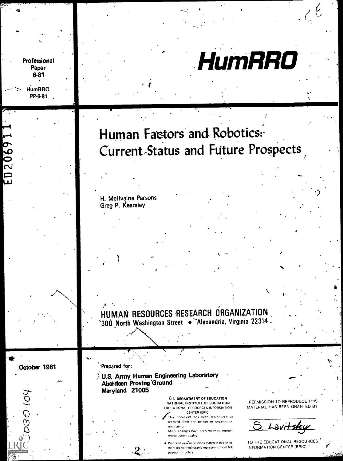# **HumRRO**

## Human Factors and Robotics: Current-Status and Future Prospects

H. Mcilvaine Parsons Greg P. Kearsley

. HUMAN RESOURCES RESEARCH ORGANIZATION `300 North Washington Street  $\bullet$  Alexandria, Virginia 22314  $\cdot$ 

October 1981

101-020

Professional Paper  $6-81$ 

> **HumRRO** PP-6-81

D20691

'Prepared for:

 $\bullet$  .

) U.S. Army Human Engineering Laboratory Aberdeen Proving 'Ground Maryland 21005

 $2$ .

U.S. DEPARTMENT OF EDUCATION NATIONAL INSTITUTE OF EDUCATION EDUCATIONAL RESOURCES INFORMATION

This document has been reproduced as received from the person or organization originating

Minor changes have been made to improve reproduction quality

 $\bullet$  Points of view or opinions stated in this docu ment do not nedessarily represent official NIE position or policy

'PERMISSION TO REPRODUCE THIS MATERIAL HAS BEEN GRANTED BY

 $\bullet$  . The set of  $\bullet$ 

.4

5

N.,

**114** 

Lavitsky

TO THE EDUCATIONAL RESOURCES INFORMATION CENTER (ERIC)"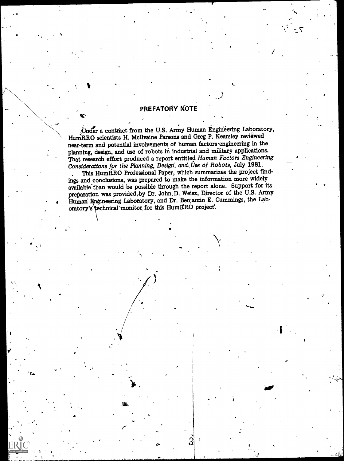#### PREFATORY NOTE

 $J$  is a set of  $J$ 

 $\mathcal{L}$ 

air

J

 $\bullet$  and  $\bullet$ 

IC`

A.

Under a contract from the U.S. Army Human Engineering Laboratory, HumRRO scientists H. McIlvaine Parsons and Greg P. Kearsley reviewed near-term and potential involvements of human factors engineering in the planning, design, and use of robots in industrial and military applications. That research effort produced a report entitled Human Factors Engineering Considerations for the Planning, Design, and Use of Robots, July 1981.

. This HumRRO Profegsional Paper, which summarizes the project findings and conclusions, was prepared to niake the information more widely available than would be possible through the report alone. Support for its preparation was provided, by Dr. John D. Weisz, Director of the U.S. Army Human Engineering Laboratory, and Dr. Benjamin E. Cummings, the Laboratory's technical monitor for this HumRRO project.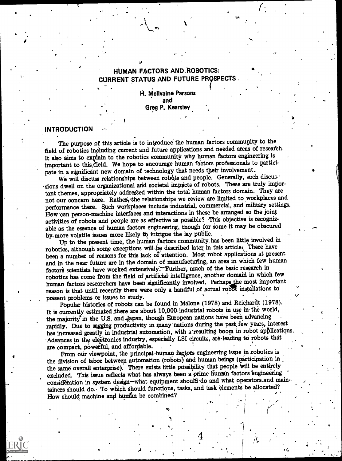### HUMAN FACTORS AND ROBOTICS: CURRENT STATUS AND FUTURE PR9SPECTS

a

b. H. Mcllvaine Parsons and Greg P. Kearsley

#### INTRODUCTION

o

The purpose of this article is to introduce the human factors community to the field of robotics including current and future applications and needed areas of research. It also aims to explain to the robotics community why human factors engineering is important to this/field. We hope to encourage human factors professionals to participate in a significant new domain of technology that needs their involvement.

We will discuss relationships between robots and people. Generally, such discus-' sions dwell on the organizational and societal impacts of robots. These are truly important themes, appropriately addressed within the total human factors domain. They are not our concern here. Rather, the relationships we review are limited to workplaces and performance there. Such workplaces include industrial, commercial, and military settings. How can person-machine interfaces and interactions in these be arranged so the joint activities of robots and people are as effective as possible? This objective is recognizable as the essence of human factors engineering, though for some it may be obscured by,more volatile issues more likely tb intrigue the lay public.

Up to the present time, the human factors community, has been little involved in robotics, although some exceptions will be described later in this article. There have been a number of reasons for this lack of attention. Most robot applications at present and in the near future are in the domain of manufacturing, an area in which few human factors scientists have worked extensively. Further, much of the basic research in robotics has come from the field of artificial intelligence, another domain in which few human factors researchers have been significantly involved. Perhaps the most important reason is that until recently there were only a handful of actual robot installations to present problems or issues to study.

Popular histories of robots can be found in Malone (1978) and Reichardt (1978). It is currently estimated there are about 10,000. industrial robots in use in the world, the majority in the U.S. and Japan, though European nations have been advancing rapidly. Due to sagging productivity in many' nations during the past, few years, interest has increased greatly in industrial automation, with a'resulting boom in robot applications. Advances in the electronics industry, especially LSI circuits, are-leading to robots that are compact, powerful, and affordable.

From our viewpoint, the principal-human factors engineering issue in robotics is the division of labor between automation (robots) and human beings (participation in the same overall enterprise). There exists little possibility that people will be entirely excluded. This issue reflects what has always been a prime human factors engineering consideration in system design-what equipment should do and what operators.and maintainers should do. To which should functions, tasks, and task elements be allocated? How should machine and human be combined?



R.,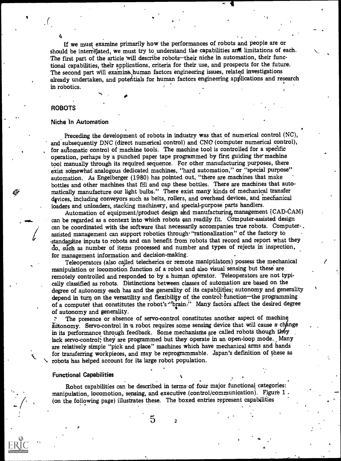If we must examine primarily how the performances of robots and people are or should be interrelated, we must try to understand the capabilities and limitations of each. The first part of the article will describe robots-their niche in automation, their functional capabilities, their applications, criteria for their use, and prospects for the future. The second part will examine, human factors engineering issues, related investigations already undertaken, and potentials for human factors engineering applications and research in robotics.

#### ROBOTS

#### Niche In Automation

S.

matically manufacture our light bulbs." There exist many kinds of mechanical transfer<br>matically manufacture our light bulbs." There exist many kinds of mechanical transfer Preceding the development of robots in industry was that of numerical control (NC), and subsequently DNC (direct numerical control) and CNO (computer numerical control), for automatic control of machine tools. The machine tool is controlled for a specific operation, perhaps by a punched paper tape programmed by first guiding the-machine tool manually through its required sequence. For other manufacturing purposes, there exist somewhat analogous dedicated machines, "hard automation," or "special purpose" automation. As Engelberger (1980) has pointed out, "there are machines that make bottles and other machines that fill and cap these bottles. There are machines that autodevices, including conveyors such as belts, rollers, and overhead devices, and mechanical loaders and unloaders, stacking machinery, and special-purpose parts handlers.

Automation of equipment/product design and manufacturing management (CAD-CAM) can be regarded as a context into which robots can readily fit. Computer-assisted design can be coordinated with the software that necessarily accompanies true robots. Computerassisted management can support robotics through "rationalization" of the factory to standardize inputs to robots and can benefit from robots that record and report what they do, such as number of items processed and number and types of rejects in inspection, for management information and decision-making.

Teleoperators (also called telecherics or remote manipulators) possess the mechanical manipulation or locomotion function of a robot and also visual sensing but these are remotely controlled and responded to by a human operator. Teleoperators are not typically classified as robots. Distinctions between classes of automation are based on the degree of autonomy each has and the generality of its capabilities; autonomy and generality depend in turn on the versatility and flexibility of the control-function-the programming of a computer that constitutes the robot's "brain." Many factors affect the desired degree of autonomy and generality.

The presence or absence of servo-control constitutes another aspect of machine autonomy. Servo-control in a robot requires some sensing device that will cause a change in its performance through feedback. Some mechanisms are called robots though they lack servo-control; they are programmed but they operate in an open-loop mode. Many are relatively simple "pick and place" machines which have mechanical arms and hands for transferring workpieces, and may be reprogrammable. Japan's definition of these as robots has helped account for its large robot population.

#### Functional Capabilities ;

Robot capabilities can be described in terms- of four major functional categories: manipulation, locomotion, sensing, and executive-(control/communication). Fjgure 1 (on the following page) illustrates these. The boxed entries represent capabilities

 $5\frac{1}{2}$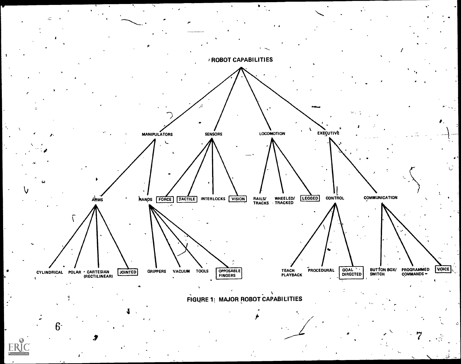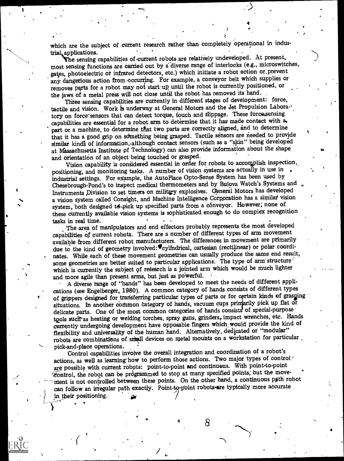which are the subject of current research rather than completely operational in industrial applications.<br>The sensing capabilities of current robots are relatively undeveloped. At present,

 $\mathbf{v}$ 

 $\ddot{\phantom{a}}$ 

most sensing functions are carried out by a diverse range of interlocks (e.g., microswitches, gates, photoelectric or infrared detectors, etc.) which initiate a robot action or, prevent any dangerious action from occurring. For example, a conveyor belt which supplies or removes parts for a robot may not start-up until the robot is currently positioned, or the jaws of a metal press will not close until the robot has, removed its hand.

Three sensing capabilities are currently in different stages of development: force, tactile and vision. Work is underway at General Motors and the Jet Propulsion Laboratory on force'sensors that can detect torque, touch and slippage. These forcazsensing capabilities are essential for a robot arm to determine that it has made contact with a, part or a machine, to determine that two parts are correctly aligned, and to determine that it has a good grip on something being grasped. Tactile sensors are needed to provide similar kinds of information, although contact sensors (such as a "skin" being developed at Kassachusetts Institute pf Technology) can also provide information about the shape and orientation 'of an object being touched or grasped.

Vision capability is considered essential in order for robots to accomplish inspection, positioning, and monitoring tasks. A number of vision systems are actually in use in , industrial settings. For example, the AutoPlace Opto-Sense System has been used by, Chesebrough-Pond's to inspect medical thermometers and by Bulova Watch's Systems and Instruments Division to set timers on military explosives. General Motors has developed a vision system called Consight, and Machine Intelligence Corporation has a similaf vision system, both designed to pick up specified parts from a conveyor. However, none of these currently available vision systems is sophisticated enough to do complex recognition

tasks in real time.<br>The area of manipulators and end effectors probably represents the most developed capabilities of current robots. There are a number of different types of arm movement available from different robot manufacturers. The differences in movement are primarily due to the kind of geometry involved: "cylindrical, cartesian (rectilinear) or polar coordinates. While each of these movement geometries can usually produce the same end result, some geometries are better suited to particular applications. The type of arm structure' which is currently the subject of research is a jointed arm which would be much lighter and more agile than present arms, but just as powerful.

A diverse range of "hands" has been developed to meet the needs of different applications (see Engelberger, 1980). A common category of hands consists of different types of grippers designed for transferring particular types of parts or for certain kinds of grasping situations. In another common category of hands, vacuum cups printarily pick up flat or delicate parts. One of the most common categories of hands consists of special-purpose tools such as heating or welding torches, spray guns, grinders, impact wrenches, etc. Hands currently undergoing' development have opposable fmgers which would provide the kind of flexibility and universality of the human hand. Alternatively, dedicated or "modular" robots are combinations of small devices on metal mounts on a workstation for particular. pick-and-place operations.

Control capabilities involve the overall integration and coordination of a robot's actions, as well as learning how to perform those actions. Two major types of control ° are possible with current robots: point-to-point and continuous. With point-to-point -control, the robot can be prdgrarnmed to stop at many specified points; but the move ment is not controlled between these points. On the other hand, a continuous path robot can follow an irregular path exactly. Point-to-point robots-are typically more accurate in their positioning.

4

 $\bullet$   $\bullet$   $\bullet$   $\bullet$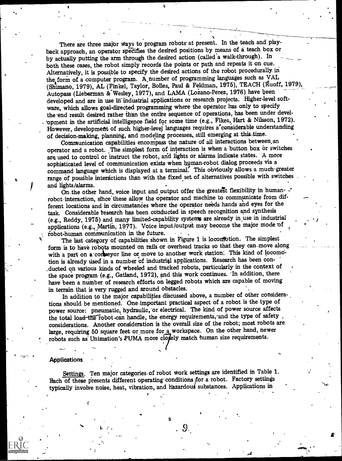There are three major ways to program robots at present. In the teach and playback approach, an operator specifies the desired positions by means of a teach box or<br>by actually putting the arm through the desired action (called a walk-through). In both these cases, the robot simply records the points or path and repeats it on cue. Alternatively, it is possible to specify the desired actions of the robot procedurally, in the form of a computer program. A number of programming languages such as VAL (Shimano, 1979), AL (Finkel, Taylor, Bolles, Paul & Feldman, 1975), TEACH (Ruoff, 1979), Autopass (Lieberman & Wesley, 1977), and LAMA (Lozano-Perez, 1976) have been developed and are in use in industrial applications or research projects. Higher-level software, which allows goal-directed programming where the operator has only to specify the end result desired rather than the entire sequence of operations, has been under devel-'opment in the artificial intelligence field for some time (e.g., Fikes, Hart & Nilsson, 1972). However, development of such higher-level languages requires a considerable understanding of decision-making, planning, and modeling processes, still emerging at-this-time.

Communication capabilities encompass the nature of all interactions between an operator and a robot. The simplest form of interaction is when a button box or switches are used to control or instruct the robot, and lights or alarms indicate states. A more sophisticated level of communication exists when human -robot dialog proceeds via a command language which is displayed at a terminal. This obviously allows a much-greater range of possible interactions than with the fixed set of alternatives possible with switches and lights/alarms.

On the other hand, voice input and output offer the greatest flexibility in human- $\cdot$ robot-interaction, since these allow the operator and machine to communicate from different locations and in circumstances where the operator needs hands and eyes for the task. Considerable research has been conducted in speech recognition and synthesis (e.g., Reddy, 1975) and many limited-capability systems are already in use in industrial applications (e.g., Martin, 1977). Voice input/output may become the major mode of robot-human communication in the future.

\*

The last category of capabilities shown in Figure 1 is loconfotion. The simplest form is to have robots mounted on rails or overhead tracks-so that they can-move along with a part on a conseguer line or move to another work station. This kind of locomotion is already used in a number of industrial applications. Research has been con-.ducted on various kinds of wheeled and tracked robots, particularly in the context of the space program (e.g., Gatland, 1972), and this work continues. 'In addition, there have been a number of research efforts on legged robots which are capable of moving in terrain that is very rugged and around obstacles.

In addition to the major capabilities discussed above, a number of other considerations should be mentioned. One important practical aspect of a robot is the type of power source: pneumatic, hydraulic,'or electrical. The kind of power source affects the total load-the robot-can handle, the energy requirements, and the type of safety considerations. Another consideration is the overall size of the robot; most robots are large, requiring 50 square feet or more for a workspace. On the other hand, newer robots such as Unimation's PUMA more closely match human size requirements.

#### **Applications**

T

Settings. Ten major categories of robot work settings are identified in Table 1. Each of these presents different operating conditions for a robot. Factory settings typically involve noise, heat, vibration, and hazardous substances. Applications in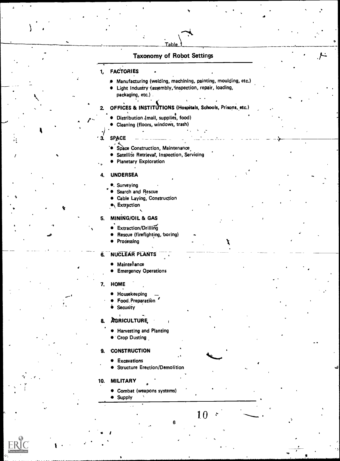#### Taxonomy of Robot Settings

**Table** 

#### 1, FACTORIES

Manufacturing (welding, machining, painting, moulding, etc.)

.

 $\overrightarrow{a}$ 

. )- \_.

 $\bullet$  Light Industry (assembly, inspection, repair, loading, packaging, etc.) .  $\left( \begin{array}{ccc} 0 & 0 & 0 \\ 0 & 0 & 0 \\ 0 & 0 & 0 \end{array} \right)$ 

#### 2, OFFICES & INSTITUTIONS (Hospitals, Schools, Prisops,,etc.)

Distribution (mail, supplies, food)

 $\mathcal{L} = \mathcal{L}$ 

- .  $P^{\perp}$ Cleaning (floors, windows, trash)
	-

#### SPACE

 $\sum_{i=1}^{n}$ 

'it

/

 $Y = \mathcal{F}$ ,  $\mathcal{F}$ 

 $\mathbf{I}$  is a set of  $\mathbf{I}$ 

- 3. SPACE<br>Space Co في مستوى بالدين<br>Satellite في مستوى بالدين بالدين بالدين<br>Satellite في مستوى بالدين بالدين بالدين بالدين **. Space Construction, Maintenance.** 
	- **•** Satellite Retrieval, Inspection, Servicing
	- **Planetary Exploration**

#### 4. UNDERSEA

- . Surveying
- **Search and Rescue**
- Cable Laying, Construction
- $\blacktriangleright$  Extraction

#### 5. MINING/OIL & GAS

- Extraction/Drilling
- Rescue (firefighting, boring)
- Processing

#### 6. NUCLEAR PLANTS

- Maintehance
- $\bullet$ Emergency Operations

- $\begin{array}{ccc} \text{7.} & \text{HOME} \ \bullet & \text{Housekeeping} \end{array}$ 
	- Food, Preparation '
	- *Security*

#### **AGRICULTURE**

**• Harvesting and Planting** 

**Example 2014** (2014) 1996 (2014) 1997

● Crop Dusting

#### 9. CONSTRUCTION

- **•** Excavations
- Structure Erection/Demolition

, and the set of  $\mathbf{A}$ 

. .

 $\ddot{\phantom{0}}$  .

- ,

10 \ .......

#### 10. MILITARY  $\bullet$

Combat (weapons systems) **•** Supply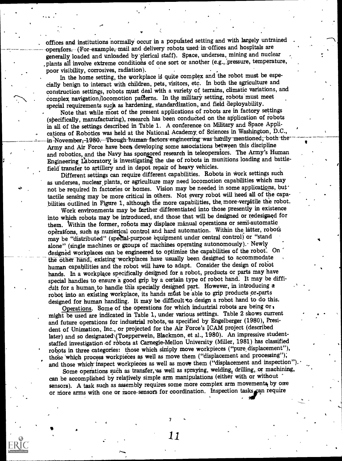. offices and institutions normally occur in a populated setting and with largely untrained operafors,-(For-example, mail and delivery robots used in-offices and hospitals are generally loaded and unloaded by clerical staff). Space, undersea, mining and nuclear .plants all involve extreme conditions of one sort or another (eg.,:pressure, temperature, poor visibility, corrosives, radiation).

In the home setting, the workplace is quite complex and the robot must be especially benign to interact with children, pets, visitors, etc. In both the agriculture and construction settings, robots must deal with a variety of terrains, climatic variations, and complex navigation/locomotion patterns. In the military setting, robots must meet special requirements such as hardening, standardization, and field deployability.

Note that while most of the present applications of robots are in factory settings (specifically, manufacturing), research has been conducted on the application of robots in all of the settings described in Table 1. A conference on Military and Space Applications of Robotics was held at the National Academy, of Sciences in Washington, DC., in-November, 1980.---Though-human-factors engineering was hardly mentioned, both the Army and Air Force have bees developing some associations between this discipline and robotics, and the Navy has sponsored research in teleoperators. The Army's Human Engineering, Laboratory is investigating the use of robots in munitions loading and battlefield transfer to artillery and in depot repair of heavy vehicles.

Different settings can require different capabilities. Robots in work settings such as undersea, nuclear, plants, or agriculture may need locomotion capabilities which may not be required in factories or homes. Vision may be needed in some applications, but tactile sensing may be more critical in others. Not every robot will heed all of the capabilities outlined in Figure 1, although die more capabilities, the, more-ver§atile the robot.

Work environments may be farther differentiated into those presently in existence into which robots may be introduced, and those that will be designed or redesigned for them. Within the former, robots may displace manual operations or semi-automatic operations, such as numerical control and hard automation. Within the latter, robots may be "distributed" (special-purpose equipment under central control) or "stand alone" (single machines or groups of machines operating autonomously). Newly designed workplaces can be engineered to optimize the capabilities of the robot. On the other-hand, existing workplaces have usually been designed to accommodate human capabilities and the robot will have to adapt. Consider the design of robot hands. In a workplace specifically designed for a robot, products or parts may have special handles to ensure a good grip by a certain type of robot hand. It may be difficult for a human to handle this specially designed part. However, in introducing a robot into an existing workplace, its hands mfist be able to grip products or-parts designed for human handling. It may be difficult to design a robot hand to do this.

Operations. Some of the operations for which industrial robots are being or, might be used are indicated in Table 1, under various settings. Table 2 shows current and future operations for industrial robots, as specified by Engelberger (1980), President of Unimation, Inc., or projected for the Air Force's ICAM project (described later) and so designated (Toepperwein, Blackmon, et al., 1980). An impressive studentstaffed investigation-of robots at Carnegie-Mellon University (Miller, 1981) has classified robots in three categories: those which simply move workpieces ("pure displacement"), those which process workpieces as well as move them ("displacement and processing"); and those which inspect workpieces as well as move them ("displacement and inspection"

Some operations such as transfer, as well as spraying, welding, drilling, or machining, can be accomplished by relatively simple arm manipulations (either with or without sensors). A task such as assembly requires some more complex arm movements by one or more arms with one or more sensors for coordination. Inspection tasks can require

11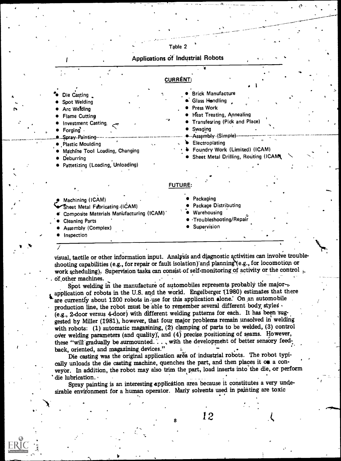Table 2

Applications of Industrial Robots CURRENT: Brick Manufacture Die Casting Glass Handling Spot Welding Press Work Arc Welding **Heat Treating, Annealing** Flame Cutting Transferring (Pick and Place) Investment Casting, Swaging Forging . Assembly (Simple) Spray-Painting-**Electroplating** Plastic Moulding Foundry Work (Limited) (ICAM) Machine Tool Loading, Changing Sheet Metal Drilling, Routing (ICAM **Deburring** Pattetizing (Loading, Unloading) FUTURE: Packaging . Machining (ICAM) Package Distributing Sheet Metal Fabricating (ICAM) Warehousing Composite Materials Manufacturing (ICAM) -Troubleshooting/Repair Cleaning Parts Supervision Assembly (Complex) Inspection

visual, tactile or other information input. Analysis and diagnostic activities can involve troubleshooting capabilities (e.g., for repair or fault isolation) and planning  $(e.g., for locomotion or$ work scheduling). Supervision tasks can consist of self-monitoring of activity or the control  $\epsilon$ of other machines.

Spot welding in the manufacture of automobiles represents probably the majorapplication of robots in the U.S. and the world. Engelberger (1980) estimates that there are currently about 1200 robots in-use for this application alone: On an automobile production line, the robot must be able to remember several different body styles . (e.g., 2-door versus 4 -door) with different welding patterns for each. It has been suggested by Miller (1981), however, that four major problems remain unsolved in welding with robots: (1) automatic magazining, (2) clamping of parts to be welded, (3) control over welding parameters (and quality), and  $(4)$  precise positioning of seams. However, these "will gradually be surmounted. . . , with the development of better sensory feed-<br>back, oriented, and magazining devices."

Die casting was the original application area of industrial robots. The robot typically unloads the die casting machine, quenches the part, and then places it on a conveyor. In addition, the robot may also trim the part, load inserts into the die, or perform die lubrication.

Spray painting is an interesting application area because it constitutes a very undesirable environment for a human operator. Many solvents used in painting are toxic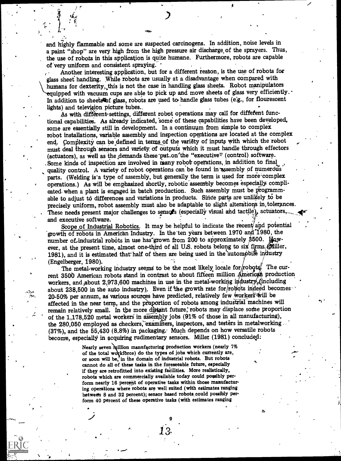and highly flammable and some are suspected carcinogens. In addition, noise levels in a paint "shop" are very high from the high pressure air discharge, of the sprayers. Thus, the use of robots in this application is quite humane. Furthermore, robots are capable of very uniform and consistent spraying.

Another interesting application, but for a different reason, is the use of robots for glass sheet handling. While robots are usually at a disadvantage when compared with humans for dexterity, this is not the case in handling glass sheets. Robot manipulators equipped with vacuum cups are able to pick up and move sheets of glass very efficiently. In addition to sheets of glass, robots are used to handle glass tubes (e.g., for flourescent lights) and television picture tubes...

As with different settings, different robot operations may call for different functional capabilities.. As already indicated, 'some of these capabilities have been developed, some are essentially still in development. In a continuum from simple to complex robot installations, variable assembly and inspection operations are located at the complex end. Complexity can be defined in terms of the variety of inputs with which the robot must deal through sensors and variety, of outputs which it must handle through effectors (actuators), as well as the demands these put on the "executive" (control) software. . Some kinds of inspection are involved in many robot operations, in addition to final quality control. A variety of robot operations can be found in assembly of numerous parts. (Welding is a type of assembly, but generally the term is used for more complex operations.) As will be emphasized shortly, robotic assembly becomes especially complicated. when a plant is engaged in batch production. Such assembly must be programmable to adjust to differences and variations in products. Since parts are unlikely to be precisely uniform, robot assembly must also be adaptable to slight alterations in tolerances. These needs present major challenges to sensors (especially visual and tactile), actuators,

and executive software.<br>
Scope of Industrial Robotics. It may be helpful to indicate the recent and potential  $\cdot$ growth of robots in American Industry. In the ten years between 1970 and 1980, the number of industrial robots in use has grown from 200 to approximately 3500. However, at the present time, almost one-third of all U.S. robots belong to six firms  $\partial\hat{u}$  iller, 1981), and it is estimated that half of them are being used in the automobile industry

 $\sim$  about 238,500 in the auto industry). Even it the growth rate for ropots indeed becomes 20-50% per annum, as various sources have predicted, relatively few workers will be (Engelberger, 1980). The metal-working industry seems to be the most likely locale for robots. The current 3500 American robots stand in contrast to about fifteen million American production workers, and about 2,973,600 machines in use in the metal-working industry (including about 238,500 in the auto industry). Even if the growth rate for robots indeed becomesaffected in the near term, and the proportion of robots among industrial machines will remain relatively small. In the more distant future, robots may displace some proportion of the 1,178,520 metal workers' in assamhly jobs (91% of those in all manufacturing), the 280,050 employed as checkers, examiners, inspectors, and testers in metalworking ... (37%), and the 55,430 (8.8%) in packaging. Much depends on how versatile robots become, especially in acquiring rudimentary sensors. Miller (1981) concluded:

> Nearly seven million manufacturing production workers (nearly 7% of the total workforce) do the types of jobs which currently are, or soon will be, in the domain of industrial robots. But robots cannot do all of these tasks in the foreseeable future, especially if they are retrofitted into existing facilities. More realistically, robots which are commercially available today could possibly perform nearly 16 percent of operative tasks within those manufacturing operations where robots are well suited (with estimates ranging between 8 and 32 percent); sensor based robots\_could possibly perform 40 percent of these operative tasks (with estimates ranging

> > 9

 $\overline{\phantom{a}}$ 

1 3.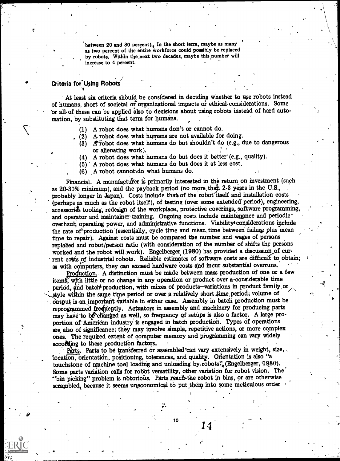between 20 and 80 percent). In the short term, maybe as many as two percent of the entire workforce could possibly be replaced by robots. Within the next two decades, maybe this number will increase to 4 percent.

#### Criteria for Using Robots

At least six criteria should be considered in deciding whether to use robots instead of humans, short of societal or organizational impacts or ethical considerations. Some br all of these can be applied also to decisions about using robots instead of hard automation, by substituting that term for humans.

- (1) A robot does what humans don't or cannot do.
- $(2)$  A robot does what humans are not available for doing.
	- (3)  $\Lambda$  robot does what humans do but shouldn't do (e.g., due to dangerous or alienating work).
	- $(4)$  A robot does what humans do but does it better  $(e.g.,$  quality).
	- (5) A robot does what humans do but does it at less cost.
	- $(6)$  A robot cannotido what humans do.

Financial. A manufacturer is primarily interested in the return on investment (such as  $20-30\%$  minimum), and the payback period (no more than  $2-3$  years in the U.S., probably longer in Japan). Costs include that of the robot itself and installation costs (perhaps as much as the robot itself), of testing (over some extended' period), engineering, accessories tooling, redesign of the workplace, protective coverings, software programming, and operator and maintainer training. Ongoing costs include maintenance and periodic overhaul, operating power, and administrative functions. Viability considerations include the rate of production (essentially, cycle time and mean time between failure plus mean time to repair). Against costs must be compared the number and wages of persons replaced and robot/person ratio (with consideration of the number of shifts the persons worked and the robot will work). En'gelberger (1980) has provided a discussion of current costs of industrial robots. Reliable estimates of software costs are difficult to obtain; as with computers, they can exceed hardware costs and incur substantial overruns.

Production. A distinction must be made between mass production of one or a few items, with little or no change in any operation or product over a-considerable time period, and batch production, with mixes of products-variations in product family or style within the same time period or over a relatively short time period; volume of output is an important variable in either case. Assembly in batch production must be reprogrammed free tently. Actuators in assembly and machinery for producing parts may have to be changed as well, so frequency of setups is also a factor. A large proportion of American industry is engaged in batch production. Types of operations are also of significance; they may involve simple, repetitive actions, or more complex ones. The required extent of computer memory and programming can vary widely according to these production factors.

Parts. Parts to be transferred or assembled can vary extensively in weight, size, 'location, orientation, positioning, tolerances, and quality. Orientation is also "a touchstone of machine tool loading and unloading by robots? $'_{\alpha}$ (Engelberger, 1980). Some parts variation calls for robot versatility, other variation for robot vision. The` "bin picking" problem is notorious. Parts reach the robot in bins, or are otherwise scrambled, because it seems uneconomical to put them into some meticulous order

10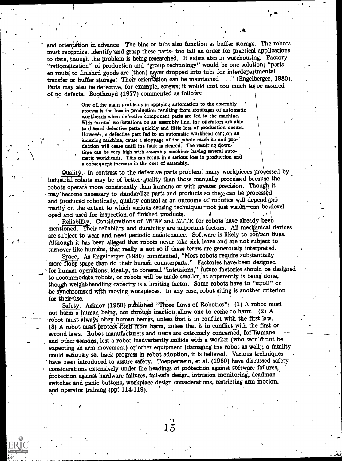and orientation in advance. The bins or tubs also function as buffer storage. The robots must recognize, identify and grasp these parts-too tall an order for practical applications to date, hough the problem is being researched. It exists also in warehousing. Factory "rationalization" of production and "group technology" would be one solution; "parts en route to finished goods are (then) never dropped into tubs for interdepartmental transfer or buffer storage. Their orientation can be maintained . . ." (Engelberger, 1980). Parts may also be defective, for example, screws; it would cost too much to be assured of no defects. Boothroyd (1977) commented as follows:

> One of. the main problems in applying automation to the assembly process is the loss in production resulting from stoppages of automatic workheads when defective component parts are fed to the machine. With manual workstations on an assembly line, the operators are able to diicard defective parts quickly and little loss of production occurs. However, a defective part fed to an automatic workhead can, on an indexing machine, cause a stoppage of the whole machine and production will cease until the fault is cleared. The resulting downtime can be very high with assembly machines having several automatic workheads. This can result in a serious loss in production and a consequent increase in the cost of assembly.

**t**ion of the state of the state of the state of the state of the state of the state of the state of the state of the state of the state of the state of the state of the state of the state of the state of the state of the

 $\gamma$   $\sim$   $\gamma$ 

 $\epsilon$  and  $\epsilon$ 

Quality. In contrast to the defective parts problem, many workpieces processed by industrial robots may be of better quality than those manually processed because the robots operate more consistently than humans or with greater precision. Though it may'become necessary to standardize parts and products so they can be processed and produced robotically, quality control as an outcome of robotics will depend primarily on the extent to which various sensing techniques—not just vision—can be devel-<br>oped and used for inspection of finished products.

Reliability. Considerations of MTBF and MTTR for robots have already been mentioned. Their reliability and durability are important factors. All mechanical devices are subject to wear and need periodic maintenance. Software is likely to contain bugs. Although it has been alleged that robots never take sick leave and are not subject to turnover like humans, that really is not so if these terms are generously interpreted.

Space. As Engelberger (1980) commented, "Most robots require substantially more floor space than do their human counterparts." Factories have been designed for human operations; ideally, to forestall "intrusions," future factories should be designed to accommodate, robots, or robots will be made smaller,'as apparently is being' done, though weight-handling capacity is a limiting factor. Some robots have to "stroll" or be synchronized with moving workpieces. In any case, robot siting is another criterion for their use.

Safety. Asimov (1950) published "Three Laws of Robotics": (1) A robot must not harm a human being, nor through inaction allow one to come to harm. (2) A robot must always obey human beings, unless that is in conflict with the first law. (3) A robot must protect itself from harm, unless that is in conflict with the first or second laws. Robot manufacturers and users are extremely concerned, for humane and other reasens, lest a robot inadvertently collide with a worker (who would not be expecting ah arm movement) or other equipment (damaging the robot as well); a fatality could seriously set back progress in robot adoption, it is believed. Various techniques have been introduced to assure safety. Toepperwein, et al, (1980) have discussed safety considerations extensively under the headings of protection against software failures, protection against hardware failures, fail-safe design, intrusion monitoring, deadman switches and panic buttons, workplace design considerations, restricting arm motion, and operator training (pp. 114-119).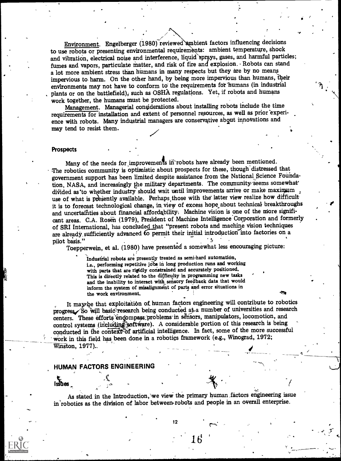Environment. Engelberger (1980) reviewed ambient factors influencing decisions to use robots or presenting environmental requirements: ambient temperature, shock and vibration, electrical noise and interference, liquid sprays, gases, and harmful particles; fumes and vapors, particulate matter, and risk of fire and explosion. Robots can stand a lot more ambient stress than humans in many respects but they are by no means impervious to harm. On the other hand, by being more impervious than humans, their environments may not have to conform to' the requirements for'humans (in industrial plants or on the battlefield), such as OSHA regulations. Yet, if robots and humans work together, the humans must be protected.

Management. Managerial considerations about installing robots include the time requirements for installation and extent of personnel resources, as well as prior 'experience with robots. Many industrial managers are conservative about innovations and may tend to resist them.

 $\bullet$  and the set of  $\bullet$ 

لب

#### **Prospects**

Many of the needs for improvements in robots have already been mentioned. The robotics community is optimistic about prospects for these, though'distressed that government support has been limited despite assistance from the National Science Foundation, NASA, and increasingly the military departments. The community seems somewhat divided as to whether industry should wait until improvements arrive or make maximum, use of what is presently available. Perhaps those with the latter view realize how difficult it is to forecast technological change, in view of excess hope about technical breakthroughs and uncertainties about financial affordability: Machine vision is one of the more significant areas. C.A. Rosen (1979), Pregident of Machine Intelligence Corporation and formerly of SRI International, has concluded that "present robots and machine vision techniques are already sufficiently advanced to permit their initial introduction into factories on a pilot basis."

Toepperwein, et al. (1980) have presented a somewhat less encouraging picture:

Industrial robots are presently treated as semi-hard automation, i.e., performing repetitive jobs in long production runs and working with parts that are rigidly constrained and accurately positioned. This is directly related to the difficulty in programming new tasks and the inability to interact with sensory feedback data that would inform the system of misalignment of parts and error situations in<br>the work environment.

It may be that exploitation of human factors engineering will contribute to robotics progress/So will basic research being conducted at a number of universities and research centers. These efforts encompass.:problems in sensors, manipulators, locomotion, and control systems (including software). A considerable portion of this research is being conducted in the context of artificial intelligence. In fact, some of the more successful Work in this field has been done in a robotics framework (e.g., Winograd, 1972; Winston, 1977).

#### HUMAN FACTORS ENGINEERING

As stated in the Introduction, we view the primary human .factors engineering issue in robotics as the division of labor between-robots and people in an overall enterprise.

12

 $6 \frac{1}{2}$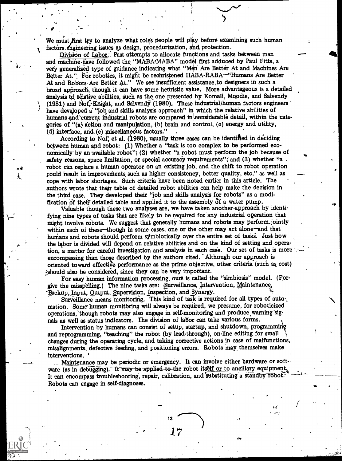We must first try to analyze what roles people will play before examining such human factors engineering issues as design, procedurization, and protection.

 $\sum_{i=1}^{n}$ 

r

dal

 $\bullet$  -  $\bullet$ 

,

A ractors engineering issues as design, procedurization, and protection.<br>
Division of Labor; Past attempts to allocate functions and tasks between man -------------------------------and machine have followed the "MABA-MABA" model first adduced by Paul Fitts, a very generalized type of guidance indicating what "Men Are Better At and Machines Are Better At." For robotics, it might be rechristened HABA-RABA-"Humans Are Better At and Robots-Are Better At." We see insufficient assistance,to designers in such a broad approach, though it can have some heuristic value. More advantageous is a detailed analysis of relative abilities, such as the one presented by Komali, Moodie, and Salvendy (1981) and Nof, $\cdot$ Knight, and Salvendy (1980). These industrial/human factors engineers have developed a "job and skills analysis approach" in which the relative abilities of humans and current industrial robots are compared in considerable detail, within the categories of "(a) action and manipulation, (b) brain and control, (c) energy and utility,  $(d)$  interface, and  $(e)$  miscellaneous factors."

According to Nof, et al. (1980), usually three cases can be identified in deciding between human and robot: (1) Whether a "task is too complex to be performed eco-<br>nomically by an available robot"; (2) whether "a robot must perform the job because of safety reasons, space limitation, or special accuracy requirements"; and (3) whether "a  $\alpha$ robot can replace a human operator on an existing job, and the shift to robot operation could result in improvements such as higher consistency, better quality, etc." as well as cope with labor shortages. Such criteria have been rioted earlier in this article. The authors wrote that their table of detailed robot abilities can help make the decision in the third case. They developed their "job and skills analysis for robots" as a modi: fication of their detailed table and applied it to the assembly of a water pump.

Valuable though these two analyses are, we have taken another-approach by identifying nine types of tasks that are likely to be required for any industrial operation that might involve robots. We suggest that generally humans and robots may perform. jointly within each of these-though in some cases, one or the other may act alone-and that humans and robots should perform symbiotically over the entire set of tasks. Just how the labor is divided will depend on relative abilities and on the kind of setting and operation, a matter for careful investigation and analysis in each case. Our set of tasks is more encompassing than those described by the authors cited. Although our approach is oriented toward effective performance as the prime objective, other criteria (such as cost) ,should also be considered, since they can be very important.

For easy human information processing, ours is called the "simbiosis" model. (Forgive the misspelling.) The nine tasks are: Surveillance, Intervention, Maintenance, Backup, Input, Output, Supervision, Inspection, and Synergy.

Surveillance means monitoring. This kind of task is required for all types of automation. Some' human monitoring will always be required, we presume, for roboticized operations, though robots may also engage in self-monitoring and produce warning signals as well as status indicators. The division of labor can take various forms.

Intervention by humans can consist of setup, startup, and shutdown, programmi and reprogramming, "teaching" the robot (by lead-through), on-line editing for small \ changes during the operating cycle, and taking corrective actions in case of malfunctions, misalignments, defective feeding, and positioning errors. Robots may, themselves make interventions. ' ,

\_\_ Maintenance may be periodic or emergency. It can involve either hardware or soft-. ware (as in debugging). It may-be applied-to-the robot itself or to ancillary equipment, It can encompass troubleshooting, repair, calibration, and substituting a standby robot. Robots can engage in self-diagnoses. ,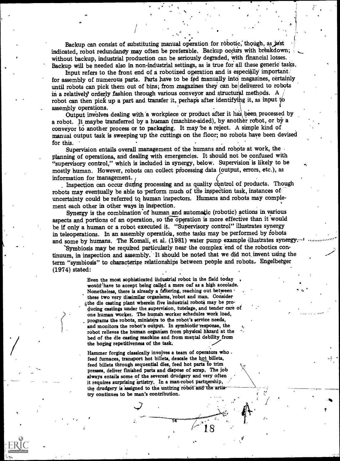Backup can consist of substituting manual operation for robotic, though, as just indicated, robot redundancy may often be preferable. Backup occurs with breakdown; without backup, industrial production can be seriously degraded, with financial losses. Backup will be needed also in non-industrial settings, as is true for all these generic tasks.

..0

Input refers to the front end of a robotized operation and is especially important, for assembly of numerous parts. Parts have to be fed manually into magazines, certainly until robots can pick them out of bins; from magazines they can be delivered to robots in a relatively orderly fashion through various conveyor and structural methods. A robot can then pick up a part and transfer it, perhaps after identifying it, as input to assembly operations.

Output involves dealing with a workpiece or product after it has been processed by a robot. It maybe transferred by a human (machine-aided), by another robot, or by a conveyor to another process or to packaging. It may 'be a reject. A simple kind of manual output task is sweeping up the cuttings on the floor; no robots have been devised for this.

Supervision entails overall management of the humans and robots at work, the planning of operations, and dealing with emergencies. It should not be confused with "supervisory control," which is included in synergy, below. Supervision is likely to be mostly human. However, robots can collect piocessing data (output, errors, etc.), as information for management.

. Inspection can occur during processing and as quality control of products. Though robots may eventually be able to perform much of the inspection task, instances ofuncertainty could be referred to human inspectors. Humans and robots may complement each other in other ways in inspection.

Synergy is the combination of human and automatic (robotic) actions in various aspects and portions of an operation, so the operation is more effective than it would be if only a human or a robot executed it. "Supervisory control" illustrates synergy in teleoperations. In an assembly operation, some tasks may be performed by robots and some by humans. The Komali, et al. (1981) water pump example illustrates synergy.

'Symbiosis may be requfred particularly near the complex end of the robotics continuum, in inspection and assembly. It should be noted that we did not invent using the term "symbiosis" to characterize relationships between people and robots. Engelberger (1974) stated:

> Even the most sophisticated industrial robot in the field today would' have to accept being called a mere oaf as a high accolade. Nonetheless, there is already a tattering, reaching out between these two very dissimilar organisms, robot and man. Consider ithe die casting plant wherein five industrial robots may be producing castings under the supervision, tutelage, and tender care of one human worker. The human worker schedules work load, programs the robots, ministers to the robot's service needs, and monitors the robot's output. In symbiotic response, the robot relieves the human organism from physical hazard at the bed of the die casting machine and from mental debility from the boring repetitiveness of the task.

Hammer forging classically involves a team of operators who feed furnaces, transport hot billets, descale the hot billets, feed billets through sequential dies, feed hot parts to trim presses, deliver finished parts and dispose of scrap. The job always entails some of the severest drudgery and very often it requires surprising artistry. In a man-robot partnership, the drudgery is assigned to the untiring robot and the artis try continues to be man's contribution.

 $\boldsymbol{\mathcal{J}}$  and the set of  $\boldsymbol{\mathcal{J}}$ 

18

its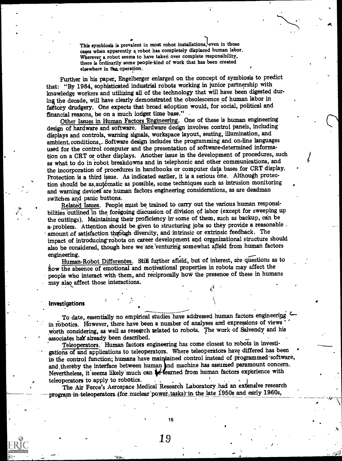This symbiosis is prevalent in most robot installations, even in those a cases when apparently a robot has completely displaced human labor. Wherever a robot seems to have taken over complete responsibility, there is ordinarily some people-kind of work that has been created elsewhere in the operation.

Further in his paper, Engelberger enlarged on the concept of symbiosis to predict that: "By 1984, sophisticated industrial robots working in junior partnership with knowledge workers and utilizing all of the technology that will have been digested during the decade, will have clearly demonstrated the obsolescence of human labor in fattory drudgery. One expects that broad adoption would, for social, political and

Other Issues in Human Factors Engineering. One of these is human engineering design of hardware and software. Hardware design involves control panels, including displays and controls, warning signals, workspace layout, seating, illumination, and ambient.conditions, Software design includes the programming and on-line languages used for the control computer and the presentation of software-determined information on a CRT or other displays. Another issue in the development of procedures, such as what, to do in robot breakdowns and in telephonic and other communications, and the incorporation of procedures in handbooks or computer data bases for CRT display. Protection is a third issue. As indicated earlier, it is a serious one. Although protection should be as automatic as possible, some techniques such as intrusion monitoring and warning devices are human factors engineering considerations, as are deadman switches and panic buttons.

Related Issues. People must be trained to carry out the various human responsibilities outlined in the foregoing discussion of division of labor (except for sweeping up the cuttings). Maintaining their proficiency in some of them, such as backup, can be a problem. Attention should be given to structuring jobs so they provide a reasonable . amount of satisfaction through diversity, and intrinsic or extrinsic feedback. The impact of introducing-robots on career development and organizational structure should also be considered, though here we are venturing somewhat affeld from human factors engineering.

Human-Robot Differences. Still further afield, but of interest, are questions as to flow the absence of emotional and motivational properties in robots may affect the people who interact with them, and reciprocally how the presence of these in humans may also affect those interactions.

#### **Investigations**

To date, essentially no empirical studies have addressed human factors engineering in robotics. However, there have been a number of analyses and expressions of views worth considering, as well as research related to robots. The work of Salvendy and his

associates hay already been described.<br>Teleoperators. Human factors engineering has come closest to robots in investigations of and applications to teleoperators. Where teleoperators have differed has been in the control function; humans have maintained control instead of programmed software, and thereby the interface between human and machine has assumed paramount concern. Nevertheless, it seems likely much can  $\bigstar$  fearned from human factors experience with teleoperators to apply to robotics.

The Air Force's Aerospace Medical Research Laboratory had an extensive research program-in-teleoperators (for nuclear power, tasks) in the late 1950s and early 1960s,

15

 $19$  results in the set of  $\mathcal{C}$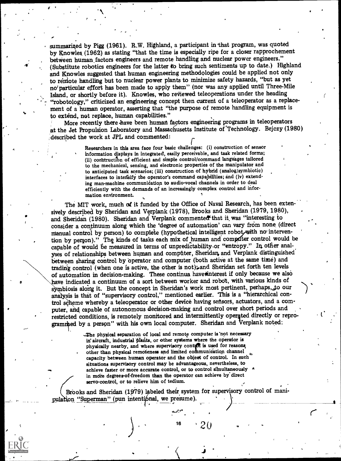summarized by Pigg (1961). R.W. Highland, a participant in that program, was quoted by Knowles (1962) as stating "that the time is especially ripe for a closer rapprochement between human, factors engineers and remote handling and nuclear power engineers." (Substitute robotics engineers for the latter to bring such sentiments up to date.) Highland and Knowles suggested that human engineering methodologies could be applied not only to remote handling but to nuclear power plants to minimize safety hazards, "but as yet no'particular effort has been made to apply them" (nor was any applied until Three-Mile Island, or shortly before it). Knowles, who reviewed teleoperations under the heading "robotology," criticized an engineering concept then current of a teleoperator as a replacement of a human operator, asserting that "the purpose of remote handling equipment is to extend, not replace, human capabilities."

at the Jet Propulsion Laboratory and Massachusetts Institute of Technology. Bejczy (1980) More recently there have been human factors engineering programs in teleoperators described the work at JPL and commented:

> Researchers in this area face four basic challenges: (i) construction of sensor information displays in integrated, easily perceivable, and task related forms; (ii) construction of efficient and simple control/command languages tailored to the mechanical, sensing, and electronic properties of the manipulator and to anticipated task scenarios; (iii) construction of hybrid (analog/symbiotic) interfaces to intensify the operator's command capapilities; and (iv) extending man-machine communication to audio-vocal charnels in order to deal efficiently with the demands of an increasingly complex control and information environment.

4

 $\mathcal{A}^{\prime}$  .

The MIT work, much of it funded by the Office of Naval Research, has been extensively described by Sheridan and Verplank (1978), Brooks and Sheridan (1979, 1980), and Sheridan (1980). Sheridan and Verplank commented that it was "interesting to consider a continuum along which the 'degree of automation' can vary from none, (direct manual control by person) to complete (hypothetical intelligent robot with no intervention by person)." The kinds of tasks each mix of human and computer control would be capable of would be measured in terms of unpredictability or "entropy." In other analyses of relationships between human and compûter, Sheridan and Verplank distinguished between sharing control by operator and computer (both active at the same time) and trading control (when one is active, the other is not); and Sheridan set forth ten levels of automation in decision-making. These continua have interest if only because we also have indicated a continuum of a sort between worker and robot, with various kinds of symbiosis alorig it. But the concept in Sheridan's work most pertinent, perhaps,,to our analysis is that of "supervisory control," mentioned earlier. This is a "hierarchical control scheme whereby a teleoperator or other device having sensors, actuators, and a computer, and capable of autonomous decision-making and control over short periods and restricted conditions, is remotely monitored and intermittently operated directly or reprogrammed by a person" with his own local computer. Sheridan and Verplank noted:

> The physical separation of local and remote computer is not necessary in aircraft, industrial plants, or other systems where the operator is physically nearby, and where supervisory control is used for reasons other than physical remoteness and limited communication channel capacity between human operator and the objeet of control. In such situations supervisory control may be advantageous, nevertheless, to achieve faster or more accurate control, or to control simultaneously  $*$ in mdie degrees-of-freedom than the operator can achieve by direct servo-control, or to relieve him of tedium.

Brooks and Sheridan (1979) labeled their system for supervisory control of manipulation "Superman" (pun intentiónal, we presume

16  $\rightarrow$  20  $\rightarrow$  20

a

1'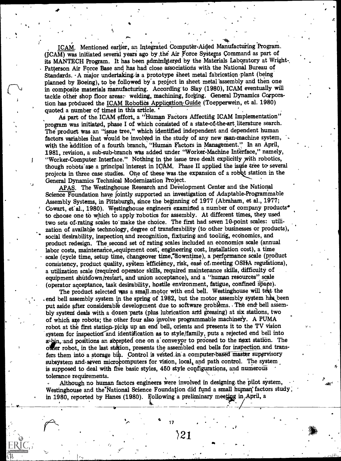ICAM. Mentioned earlier, an Integrated Computer-Aided Manufacturing Program. (ICAM) was initiated several years ago by the Air Force Systems Command as part of its MANTECH Program. It has been administered by the Materials Laboratory at Wright-Patterson Air Force Base and has had close associations with the National Bureau of Standards. A major undertaking is a prototype sheet metal fabrication-plant (being planned by Boeing), to be followed by a project in sheet metal assembly and then one in composite materials manufacturing. According' to Slay (1980), ICAM eventually will tackle other shop floor areas: welding, machining, forging. General Dynamics Corporation has produced the ICAM Robotics Application Guide (Toepperwein, et al. 1980) quoted a number of times in this article.

As part of the ICAM effort, a "Human Factors Affecting ICAM Implementation" program was initiated, phase I of which consisted of a state -of-the -art literature search. The product was an "issue tree," which identified independent and dependent human factors variables that would be involved in the study of any new man-machine system, with the addition of a fourth branch, "Human Factors in Management." In an April, 1981, revision, a sub-sub-branch WaS added under "Worker-Machine Interface," namely, "Worker-Computer. Interface." Nothing in he issue tree dealt explicitly with robotics, though robots are a principal interest in ICAM. Phase II applied the issue tree to several projects in three case studies. One of these was the expansion of a robbt station in the General Dynamics Technical Modernization Project.

APAS. The Westinghouse Research and Development Center and the National Science Foundation have jointly supported an investigation of Adaptable-ProgrammabIe Assembly Systems, in Pittsburgh, since the beginning of 1977 (Abraham, et al., 1977; Cowart, et al., 1980). Westinghouse engineers examined a number of company products<sup>4</sup> to choose one to which to apply 'robotics for assembly. At different times, they used two sets of rating scales to make the choice. The first had seven 10-point scales: utilization of available technology, degree of transferability (to- other businesses or products), social desirability, inspection and recognition, fixturing and tooling, economics, and product redesign. The second set of rating scales included an economics scale (annual labor costs, maintenance, equipment cost, engineering cost, installation cost), a time scale (cycle time, setup time, changeover time, downtime), a performance scale (product consistency, product quality, system efficiency, risk, ease of, meeting OSHA regulations), a utilization scale (required operator skills, required maintenance skills, difficulty of equipment shutdown/restart, and union acceptance), and a "human resources" scale (operator acceptance, task desirability, hostile environment, fatigue, confined space).

The product selected was a small motor with end bell. Westinghouse will test the end bell assembly system in the spring of 1982, but the motor assembly system has been put aside after considerable development due to software problems. The end bell assembly systeni deals with a dozen parts (plus lubrication and greasing) at six stations, two of which are robots; the other four also involve programmable machinery. A PUMA robot, at the first station-picks up an end bell, orients and presents it to the TV vision system for inspection and identification as to style/family, puts a rejected end bell into a<sup>th</sup> and positions an accepted one on a conveyor to proceed to the next station. The offer robot, in the last station, presents the assembled end bells for inspection and transfers them into a storage bin. Control is vested in a computer-based master supervisory subsystem and seven microcomputers for vision, local, and path control. The system is supposed to deal with five basic styles, 450 style configurations, and numerous tolerance requirements.

Although no human factors engineers were involved in designing the pilot system, Westinghouse and the National Science Foundation did fund a small human factors study; in 1980, reported by Hanes (1980). Following a preliminary meeting in April, a

 $\mathcal{L}$ 

J

 $\rangle$ 21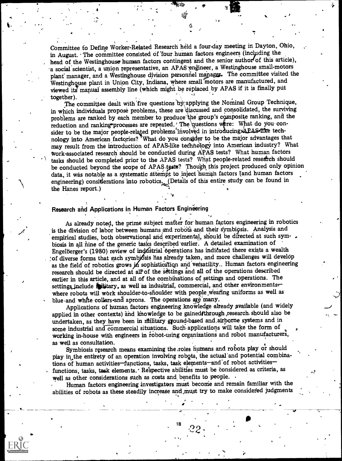Committee to Define Worker-Related Research held a four-day meeting in Dayton, Ohio, in August. The committee consisted of four human factors engineers (including the head of the Westinghouse human factors contingent and the senior author of this article), a social scientist, a union representative, an APAS engineer, a Westinghouse small-motors plant' manager, and a Westinghouse division personnel manager. The committee visited the Westinghquse plant in Union City, Indiana, where small motors are manufactured, and viewed its' manual assembly line (which might be replaced by APAS if it is finally put together).

 $\mathbf{a}$  and  $\mathbf{a}$ 

..?

 $\mathcal{L}$ 

, .

therefore dealt with five questions by applying the Nominal Group Technique, in which individuals propose problems, these are discussed and consolidated, the surviving problems are ranked by each member to produce the group's composite ranking, and the reduction and ranking processes are repeated. The questions were: What do you consider to be the major people-related problems involved in introducing. APAS-like technology into American factories? What do you consider to be the major advantages that may result from the introduction of APAS-like technology into American industry? What work-associated research should be conducted during APAS tests? What human factors tasks should be completed prior to the APAS tests? What people-related research should be conducted beyond the scope of APAS ipsts? Though this project produced only opinion data, it was notable as a systematic attempt to inject human factors (and human factors engineering) considerations into robotics. (Details of this entire study can be found in the Hange report) the Hanes report.)

#### Research and Applications in Human Factors Engineering

. ..

As already noted, the prime subject mafter for human factors engineering in robotics is the division of labor between humans and robots and their symbiosis. Analysis and empirical studies, both observational and experimental, should be directed at such symbiosis in all nine of the generic tasks described earlier. A detailed examination of Engelberger's (1980) review of industrial operations has indicated there exists a wealth of diverse forms that such symbjosis has already taken, and more challenges will develop as the field of robotics grows in sophistication and versatility. Human factors engineering research should be directed at all of the settings and all of the operations described earlier in this article, and at all of the combinations of settings and operations. The settings include **\*Witary**, as well as industrial, commercial, and other environmentswhere robots will work shoulder-to-shoulder with people wearing uniforms as well as blue and white collars and aprons. The operations are many.

Applications of human factors engineering knowledge already available (and widely applied in other contexts) and knowledge to be gained through research should also be undertaken, as they have been in military ground-based and airborne systems and in some industrial and commercial situations. Such applications will take the form of working in-house with engineers in robot-using organizations and robot manufacturers,

as well as consultation.<br>Symbiosis research means examining the roles humans and robots play or should play in the entirety of an operation involving robots, the actual and potential combinations of human activities-functions, tasks, task elements-and of robot activitiesfunctions, tasks, task elements. Respective abilities must be considered as criteria, as well as other considerations such as costs and benefits to people. .

Human factors engineering investigators must beconie and remain familiar with the abilities of robots as these steadily increase and must try to make considered judgments

 $18 \quad 0^{\circ}$ 

 $22<\frac{1}{2}$ 

\_}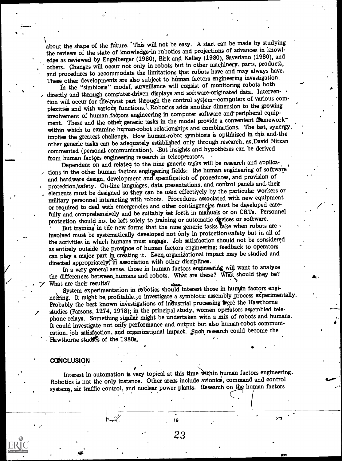about the shape of the future. This will not be easy. A start can be made by studying the reviews of the state of knowledge-in robotics and projections of advances in knowledge as reviewed by Engelberger (1980), Birk and Kelley (1980), Saveriano (1980), and others. Changes will occur not only in robots but in other machinery, parts, products, and procedures to accommodate the limitations that robots have and may always have. These other developments are also subject to human factors engineering investigation.

In the "simbiosis" model, surveillance will consist of monitoring robots both directly and through computer-driven displays and software-originated data. Intervention will occur for the most part through the control system-computers of various complexities and with various functions. Robotics adds another dimension to the growing involvement of human factors engineering in computer software and peripheral equipment. These and the other generic tasks in the model provide a convenient frameworkwithin which to examine human-robot relationships and combinations. The last, synergy, implies the greatest challenge. How human-robot symbiosis is optimized in this and the other generic tasks can be adequately established only through research, as David Nitzan commented (personal. communication). But insights and hypotheses can be derived from human factors engineering research in teleoperators.

Dependent on and related to the nine generic tasks will be research and applications in the other human factors engineering fields: the human engineering of software and hardware design, development and specification of procedures, and provision of protection/safety. On-line languages, data presentations, and control panels and their elements must be designed so they can be used effectively by the particular workers or military personnel interacting with robots. Procedures associated with new equipment or required to deal with emergencies and other contingencies must be developed carefully and comprehensively and be suitably set forth in manuals or on CRTs. Personnel protection should not be left solely to training or automatic devices or software.

But training in the new forms that the nine generic tasks lake when robots are  $\cdot$ involved must be systematically developed not only in protection/safety but in all of the activities in which humans must engage. Job satisfaction should not be considered as entirely outside the province of human factors engineering; feedback to operators can play a major part in creating it. Even, organizational impact may be studied and directed appropriately, in association with other disciplines.

In a very general sense, those in human factors engineering will want to analyze. the differences between humans and robots. What are these? What should they be? 7 What are their results?<br>System experimentation in robotics should interest those in humin factors engi-

neering. It might be, profitable to investigate a symbiotic assembly process experimentally.<br>Probably the best known investigations of industrial processing were the Hawthorne studies (Parsons, 1974, 1978); in the principal study, women operators assembled telephone relays. Something similar might be undertaken with a mix of robots and humans. It could investigate not only performance and output but also human-robot communication, job satisfaction, and organizational impact. \_Such research could become the Hawthorne studies of the 1980s,

 $\blacklozenge$   $\blacktriangleright$   $\blacktriangle$   $\blacktriangleright$   $\blacktriangleright$ 

 $\overline{t}$ 

#### **CONCLUSION**

Interest in automation is very topical at this time within human factors engineering. Robotics is not the only instance. Other areas include avionics, command and control systems, air traffic control, and nuclear power plants. Research on the human factors

2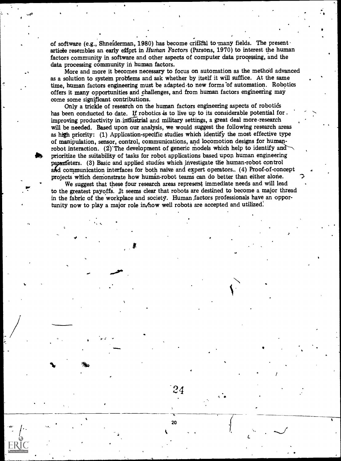of software (e.g., Shneiderman, 1980) has become critical to many fields. The present of article resembles an early effort in Human Factors (Parsons, 1970) to interest the human factors community in software and other aspects of computer data processing, and the data processing community in human factors.

More and more it becomes necessary to focus on automation as the method advanced as a solution to system problems and ask whether by itself it will suffice. At the same time, human factors engineering must be adapted to new forms of automation. Robotics offers it many opportunities and challenges, and from human factors engineering may come some significant contributions.

Only a trickle of research on the human factors engineering aspects of robotics has been conducted to date. If robotics is to live up to its considerable potential for . improving productivity in industrial and military settings, a great deal more research will be needed. Based upon our analysis, we would suggest the following research areas as high priority: (1) Application-specific studies which identify the most effective type of manipulation, sensor, control, communications, and locomotion designs for humanrobot interaction. (2) The development of generic models which help to identify and prioritize the suitability of tasks for robot applications based upon human engineering parameters. (3) Basic and applied studies which investigate the human-robot control aAd communication interfaces for both naive and expert operators., (4) Proof-of-concept projects which demonstrate how human-robot teams can do better than either alone.

We suggest that these four research areas represent immediate needs and will lead to the greatest payoffs. It seems clear that robots are destined to become a major thread in the fabric of the workplace and society. Human .factors professionals have an opportunity now to play a major role in/how well robots are accepted and utilized.

 $24$ 

L

1

4. 20

4111..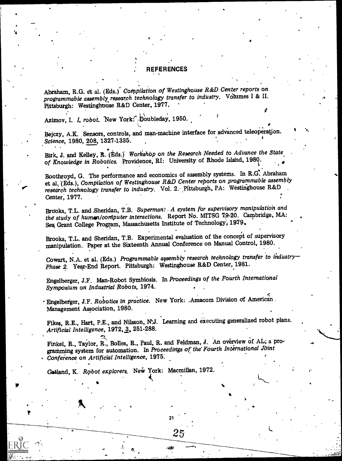#### REFERENCES

Abraham, R.G. et al. (Eds.) Compilation of Westinghouse R&D Center reports on programmable assembly research technology transfer to industry. Volumes I & II. Pittsburgh: Westinghouse R&D Center, 1977.

Azimov, I. I, robot. New York: Doubleday, 1950.

Bejczy, A.K. Sensors, controls, and man-machine interface for advanced teleoperation. Science, 1980, 208, 1327-1335.

Birk, J. and Kelley, R. (Eds.) Workshop on the Research Needed to Advance the State of Knowledge in Robotics. Providence, RI: University of Rhode Island, 1980.

Boothroyd, G. The performance and economics of assembly systems. In R.G. Abraham et al, '(Eds.), Compilation of Westinghouse R&D Center reports on programmable assembly research technology transfer to industry. Vol. 2. Pittsburgh, PA: Westinghouse R&D Center, 1977.

Brooks, T.L. and Sheridan, T.B. Superman: A system for supervisory manipulation and the study of human/computer interactions. Report No. MITSG 79-20. Cambridge, MA: Sea Grant College Program, Massachusetts Institute of Technology, 1979.

Brooks, T.L. and Sheridan, T.B. Experimental evaluation of the concept of supervisory manipulation. Paper at the Sixteenth Annual Conference on Manual Control, 1980.

Cowart, N.A. et al. (Eds.) Programmable assembly research technology transfer to ihdustry Phase 2. Year-End Report. Pittsburgh: Westinghouse R&D Center, 1981.

Engelberger, J.F. Man-Robot Symbiosis. In Proceedings of the Fourth International Symposium on Industrial Robots, 1974.

Engelberger, J.F. Robotics in practice. New York: Amacom Division of American. Management Association, 1980.

Fikes, R.E., Hart, P.E., and Nilsson, N.J. Learning and executing generalized robot plans. Artificial Intelligence, 1972, 3, 251-288.

Finkel, R., Taylor, R., Bolles, R., Paul, R. and Feldman, J. An overview of AL; a programming system for automation. In Proceedings of the Fourth International Joint Conference on Artificial Intelligence, 1975.

21

25

4

L

Gatland, K. Robot explorers. New York: Macmillan, 1972.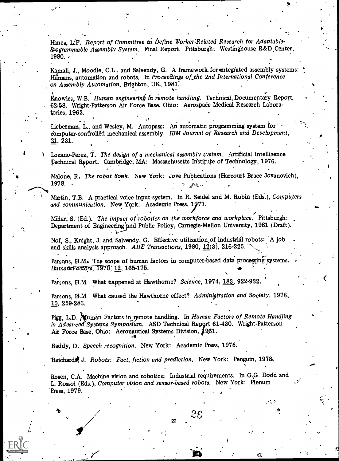Hanes, L:F. Report of Committee to Define Worker-Related Research for Adaptable-Programmable Assembly System. Final Report. Pittsburgh: Westinghouse R&D Center,  $1980.$ 

Kamali, J., Moodie, C.L., and Salvendy, G. A framework for integrated assembly systems: Humans, automation and robots. In Proceedings of the 2nd International Conference on Assembly Automation, Brighton, UK, 1981.

Knowles, W.B. Human engineering in remote handling. Technical Documentary Report. 62-58. Wright-Patterson Air Force Base, Ohio: Aerospace Medical Research Laboratories, 1962.

Lieberman, L., and Wesley, M. Autopass: An automatic programming system for computer-confrolled mechanical assembly. IBM Journal of Research and Development,  $21, 231.$ 

 $\lambda$  Lozano-Perez, T. The design of a mechanical assembly system. Artificial Intelligence. Technical Report. Cambridge, MA: Massachusetts Institute of Technology, 1976.

Malone, R. The robot book. New York: Jove Publications (Harcourt Brace Jovanovich), 1978.

4

Martin, T.B. A practical voice input-system. In R. Seidel and-M. Rubin (Eds.), Computers and communication. New York: Academic Press, 1977.

Miller, S. (Ed.). The impact of robotics on the workforce and workplace. Pittsburgh: Department of Engineering and Public Policy, Carnegie-Mellon University, 1981 (Draft).

Nof, S., Knight, J. and Salvendy, G. Effective utilization of industrial robots:  $\overline{A}$  job and skills analysis approach. AIIE Transactions, 1980, 12(3), 216-225.

Parsons, H.M. The scope of human factors in computer-based data processing systems. Human=Factors, 1970, 12, 165-175.

Parsons, H.M. What happened at Hawthorne? Science, 1974, 183, 922-932.

Parsons, H.M. What caused the Hawthorne effect? Administration and Society, 1978, 10, 259-283.

Pigg, L.D. Muman Factors in remote handling. In Human Factors of Remote Handling in Advanced Systems Symposium. ASD Technical Report 61-430. Wright-Patterson Air Force Base, Ohio: Aeronautical Systems Division, 1961.

Reddy, D. Speech recognition. New York: Academic Press, 1975.

Reichard# J. Robots: Fact, fiction and prediction. New York: Penguin, 1978.

 $\sim$  11,  $\sim$  26  $\sim$  11,  $\sim$  26  $\sim$  11,  $\sim$  11,  $\sim$  11,  $\sim$  11,  $\sim$  11,  $\sim$  11,  $\sim$  11,  $\sim$  11,  $\sim$  11,  $\sim$  11,  $\sim$  11,  $\sim$  11,  $\sim$  11,  $\sim$  11,  $\sim$  11,  $\sim$  11,  $\sim$  11,  $\sim$  11,  $\sim$  11,  $\sim$  11,  $\sim$  11

Rosen, C.A. Machine vision and robotics: Industrial requirements. In G.G. Dodd and L. Rossol (Eds,), Computer vision and sensor-based robots. New York: Plenum Press, 1979.